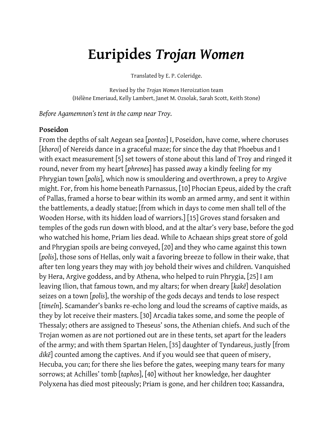# **Euripides** *Trojan Women*

Translated by E. P. Coleridge.

Revised by the *Trojan Women* Heroization team (Hélène Emeriaud, Kelly Lambert, Janet M. Ozsolak, Sarah Scott, Keith Stone)

*Before Agamemnon's tent in the camp near Troy.*

#### **Poseidon**

From the depths of salt Aegean sea [*pontos*] I, Poseidon, have come, where choruses [*khoroi*] of Nereids dance in a graceful maze; for since the day that Phoebus and I with exact measurement [5] set towers of stone about this land of Troy and ringed it round, never from my heart [*phrenes*] has passed away a kindly feeling for my Phrygian town [*polis*], which now is smouldering and overthrown, a prey to Argive might. For, from his home beneath Parnassus, [10] Phocian Epeus, aided by the craft of Pallas, framed a horse to bear within its womb an armed army, and sent it within the battlements, a deadly statue; [from which in days to come men shall tell of the Wooden Horse, with its hidden load of warriors.] [15] Groves stand forsaken and temples of the gods run down with blood, and at the altar's very base, before the god who watched his home, Priam lies dead. While to Achaean ships great store of gold and Phrygian spoils are being conveyed, [20] and they who came against this town [*polis*], those sons of Hellas, only wait a favoring breeze to follow in their wake, that after ten long years they may with joy behold their wives and children. Vanquished by Hera, Argive goddess, and by Athena, who helped to ruin Phrygia, [25] I am leaving Ilion, that famous town, and my altars; for when dreary [*kakē*] desolation seizes on a town [*polis*], the worship of the gods decays and tends to lose respect [*timeîn*]. Scamander's banks re-echo long and loud the screams of captive maids, as they by lot receive their masters. [30] Arcadia takes some, and some the people of Thessaly; others are assigned to Theseus' sons, the Athenian chiefs. And such of the Trojan women as are not portioned out are in these tents, set apart for the leaders of the army; and with them Spartan Helen, [35] daughter of Tyndareus, justly [from *dikē*] counted among the captives. And if you would see that queen of misery, Hecuba, you can; for there she lies before the gates, weeping many tears for many sorrows; at Achilles' tomb [*taphos*], [40] without her knowledge, her daughter Polyxena has died most piteously; Priam is gone, and her children too; Kassandra,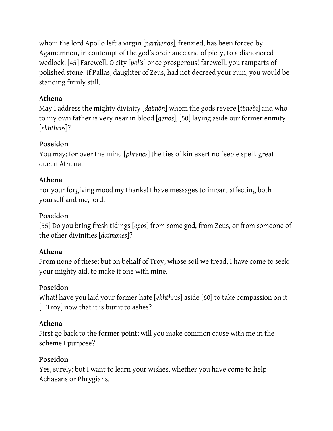whom the lord Apollo left a virgin [*parthenos*], frenzied, has been forced by Agamemnon, in contempt of the god's ordinance and of piety, to a dishonored wedlock. [45] Farewell, O city [*polis*] once prosperous! farewell, you ramparts of polished stone! if Pallas, daughter of Zeus, had not decreed your ruin, you would be standing firmly still.

# **Athena**

May I address the mighty divinity [*daimōn*] whom the gods revere [*timeîn*] and who to my own father is very near in blood [*genos*], [50] laying aside our former enmity [*ekhthros*]?

# **Poseidon**

You may; for over the mind [*phrenes*] the ties of kin exert no feeble spell, great queen Athena.

# **Athena**

For your forgiving mood my thanks! I have messages to impart affecting both yourself and me, lord.

# **Poseidon**

[55] Do you bring fresh tidings [*epos*] from some god, from Zeus, or from someone of the other divinities [*daimones*]?

# **Athena**

From none of these; but on behalf of Troy, whose soil we tread, I have come to seek your mighty aid, to make it one with mine.

# **Poseidon**

What! have you laid your former hate [*ekhthros*] aside [60] to take compassion on it [= Troy] now that it is burnt to ashes?

# **Athena**

First go back to the former point; will you make common cause with me in the scheme I purpose?

# **Poseidon**

Yes, surely; but I want to learn your wishes, whether you have come to help Achaeans or Phrygians.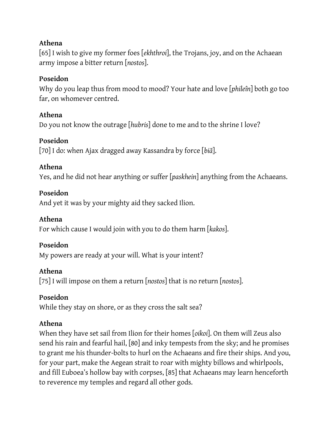### **Athena**

[65] I wish to give my former foes [*ekhthroi*], the Trojans, joy, and on the Achaean army impose a bitter return [*nostos*].

### **Poseidon**

Why do you leap thus from mood to mood? Your hate and love [*phileîn*] both go too far, on whomever centred.

### **Athena**

Do you not know the outrage [*hubris*] done to me and to the shrine I love?

### **Poseidon**

[70] I do: when Ajax dragged away Kassandra by force [*biā*].

### **Athena**

Yes, and he did not hear anything or suffer [*paskhein*] anything from the Achaeans.

### **Poseidon**

And yet it was by your mighty aid they sacked Ilion.

#### **Athena**

For which cause I would join with you to do them harm [*kakos*].

#### **Poseidon**

My powers are ready at your will. What is your intent?

#### **Athena**

[75] I will impose on them a return [*nostos*] that is no return [*nostos*].

#### **Poseidon**

While they stay on shore, or as they cross the salt sea?

#### **Athena**

When they have set sail from Ilion for their homes [*oikoi*]. On them will Zeus also send his rain and fearful hail, [80] and inky tempests from the sky; and he promises to grant me his thunder-bolts to hurl on the Achaeans and fire their ships. And you, for your part, make the Aegean strait to roar with mighty billows and whirlpools, and fill Euboea's hollow bay with corpses, [85] that Achaeans may learn henceforth to reverence my temples and regard all other gods.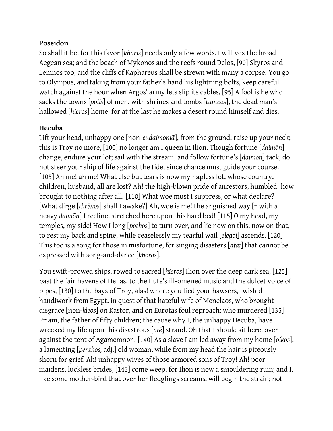#### **Poseidon**

So shall it be, for this favor [*kharis*] needs only a few words. I will vex the broad Aegean sea; and the beach of Mykonos and the reefs round Delos, [90] Skyros and Lemnos too, and the cliffs of Kaphareus shall be strewn with many a corpse. You go to Olympus, and taking from your father's hand his lightning bolts, keep careful watch against the hour when Argos' army lets slip its cables. [95] A fool is he who sacks the towns [*polis*] of men, with shrines and tombs [*tumbos*], the dead man's hallowed [*hieros*] home, for at the last he makes a desert round himself and dies.

### **Hecuba**

Lift your head, unhappy one [non-*eudaimoniā*], from the ground; raise up your neck; this is Troy no more, [100] no longer am I queen in Ilion. Though fortune [*daimōn*] change, endure your lot; sail with the stream, and follow fortune's [*daimōn*] tack, do not steer your ship of life against the tide, since chance must guide your course. [105] Ah me! ah me! What else but tears is now my hapless lot, whose country, children, husband, all are lost? Ah! the high-blown pride of ancestors, humbled! how brought to nothing after all! [110] What woe must I suppress, or what declare? [What dirge [*thrēnos*] shall I awake?] Ah, woe is me! the anguished way [= with a heavy *daimōn*] I recline, stretched here upon this hard bed! [115] O my head, my temples, my side! How I long [*pothos*] to turn over, and lie now on this, now on that, to rest my back and spine, while ceaselessly my tearful wail [*elegoi*] ascends. [120] This too is a song for those in misfortune, for singing disasters [*atai*] that cannot be expressed with song-and-dance [*khoros*].

You swift-prowed ships, rowed to sacred [*hieros*] Ilion over the deep dark sea, [125] past the fair havens of Hellas, to the flute's ill-omened music and the dulcet voice of pipes, [130] to the bays of Troy, alas! where you tied your hawsers, twisted handiwork from Egypt, in quest of that hateful wife of Menelaos, who brought disgrace [non-*kleos*] on Kastor, and on Eurotas foul reproach; who murdered [135] Priam, the father of fifty children; the cause why I, the unhappy Hecuba, have wrecked my life upon this disastrous [*atē*] strand. Oh that I should sit here, over against the tent of Agamemnon! [140] As a slave I am led away from my home [*oikos*], a lamenting [*penthos,* adj.] old woman, while from my head the hair is piteously shorn for grief. Ah! unhappy wives of those armored sons of Troy! Ah! poor maidens, luckless brides, [145] come weep, for Ilion is now a smouldering ruin; and I, like some mother-bird that over her fledglings screams, will begin the strain; not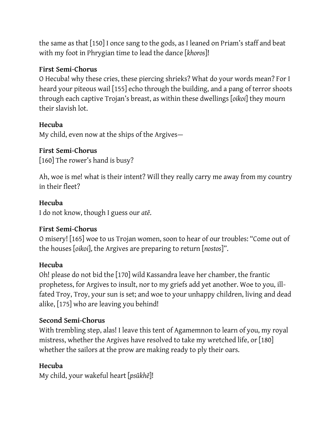the same as that [150] I once sang to the gods, as I leaned on Priam's staff and beat with my foot in Phrygian time to lead the dance [*khoros*]!

#### **First Semi-Chorus**

O Hecuba! why these cries, these piercing shrieks? What do your words mean? For I heard your piteous wail [155] echo through the building, and a pang of terror shoots through each captive Trojan's breast, as within these dwellings [*oikoi*] they mourn their slavish lot.

### **Hecuba**

My child, even now at the ships of the Argives—

### **First Semi-Chorus**

[160] The rower's hand is busy?

Ah, woe is me! what is their intent? Will they really carry me away from my country in their fleet?

### **Hecuba**

I do not know, though I guess our *atē*.

# **First Semi-Chorus**

O misery! [165] woe to us Trojan women, soon to hear of our troubles: "Come out of the houses [*oikoi*], the Argives are preparing to return [*nostos*]".

#### **Hecuba**

Oh! please do not bid the [170] wild Kassandra leave her chamber, the frantic prophetess, for Argives to insult, nor to my griefs add yet another. Woe to you, illfated Troy, Troy, your sun is set; and woe to your unhappy children, living and dead alike, [175] who are leaving you behind!

# **Second Semi-Chorus**

With trembling step, alas! I leave this tent of Agamemnon to learn of you, my royal mistress, whether the Argives have resolved to take my wretched life, or [180] whether the sailors at the prow are making ready to ply their oars.

# **Hecuba**

My child, your wakeful heart [*psūkhē*]!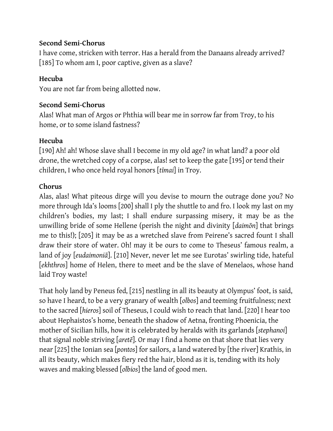#### **Second Semi-Chorus**

I have come, stricken with terror. Has a herald from the Danaans already arrived? [185] To whom am I, poor captive, given as a slave?

### **Hecuba**

You are not far from being allotted now.

#### **Second Semi-Chorus**

Alas! What man of Argos or Phthia will bear me in sorrow far from Troy, to his home, or to some island fastness?

### **Hecuba**

[190] Ah! ah! Whose slave shall I become in my old age? in what land? a poor old drone, the wretched copy of a corpse, alas! set to keep the gate [195] or tend their children, I who once held royal honors [*tīmai*] in Troy.

# **Chorus**

Alas, alas! What piteous dirge will you devise to mourn the outrage done you? No more through Ida's looms [200] shall I ply the shuttle to and fro. I look my last on my children's bodies, my last; I shall endure surpassing misery, it may be as the unwilling bride of some Hellene (perish the night and divinity [*daimōn*] that brings me to this!); [205] it may be as a wretched slave from Peirene's sacred fount I shall draw their store of water. Oh! may it be ours to come to Theseus' famous realm, a land of joy [*eudaimoniā*]. [210] Never, never let me see Eurotas' swirling tide, hateful [*ekhthros*] home of Helen, there to meet and be the slave of Menelaos, whose hand laid Troy waste!

That holy land by Peneus fed, [215] nestling in all its beauty at Olympus' foot, is said, so have I heard, to be a very granary of wealth [*olbos*] and teeming fruitfulness; next to the sacred [*hieros*] soil of Theseus, I could wish to reach that land. [220] I hear too about Hephaistos's home, beneath the shadow of Aetna, fronting Phoenicia, the mother of Sicilian hills, how it is celebrated by heralds with its garlands [*stephanoi*] that signal noble striving [*aretē*]. Or may I find a home on that shore that lies very near [225] the Ionian sea [*pontos*] for sailors, a land watered by [the river] Krathis, in all its beauty, which makes fiery red the hair, blond as it is, tending with its holy waves and making blessed [*olbios*] the land of good men.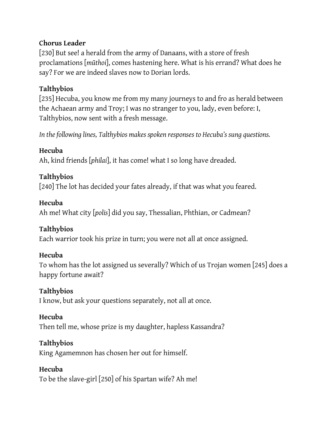### **Chorus Leader**

[230] But see! a herald from the army of Danaans, with a store of fresh proclamations [*mūthoi*], comes hastening here. What is his errand? What does he say? For we are indeed slaves now to Dorian lords.

# **Talthybios**

[235] Hecuba, you know me from my many journeys to and fro as herald between the Achaean army and Troy; I was no stranger to you, lady, even before: I, Talthybios, now sent with a fresh message.

*In the following lines, Talthybios makes spoken responses to Hecuba's sung questions.*

# **Hecuba**

Ah, kind friends [*philai*], it has come! what I so long have dreaded.

# **Talthybios**

[240] The lot has decided your fates already, if that was what you feared.

# **Hecuba**

Ah me! What city [*polis*] did you say, Thessalian, Phthian, or Cadmean?

# **Talthybios**

Each warrior took his prize in turn; you were not all at once assigned.

# **Hecuba**

To whom has the lot assigned us severally? Which of us Trojan women [245] does a happy fortune await?

# **Talthybios**

I know, but ask your questions separately, not all at once.

# **Hecuba**

Then tell me, whose prize is my daughter, hapless Kassandra?

# **Talthybios**

King Agamemnon has chosen her out for himself.

# **Hecuba**

To be the slave-girl [250] of his Spartan wife? Ah me!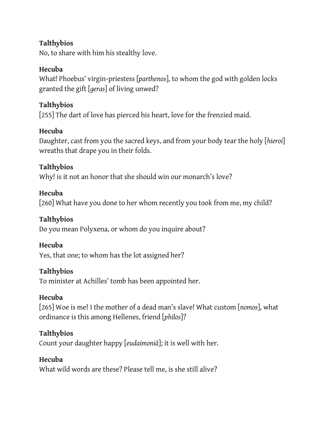### **Talthybios**

No, to share with him his stealthy love.

### **Hecuba**

What! Phoebus' virgin-priestess [*parthenos*], to whom the god with golden locks granted the gift [*geras*] of living unwed?

### **Talthybios**

[255] The dart of love has pierced his heart, love for the frenzied maid.

### **Hecuba**

Daughter, cast from you the sacred keys, and from your body tear the holy [*hieroi*] wreaths that drape you in their folds.

# **Talthybios**

Why! is it not an honor that she should win our monarch's love?

#### **Hecuba**

[260] What have you done to her whom recently you took from me, my child?

### **Talthybios**

Do you mean Polyxena, or whom do you inquire about?

#### **Hecuba**

Yes, that one; to whom has the lot assigned her?

#### **Talthybios**

To minister at Achilles' tomb has been appointed her.

#### **Hecuba**

[265] Woe is me! I the mother of a dead man's slave! What custom [*nomos*], what ordinance is this among Hellenes, friend [*philos*]?

# **Talthybios**

Count your daughter happy [*eudaimoniā*]; it is well with her.

#### **Hecuba**

What wild words are these? Please tell me, is she still alive?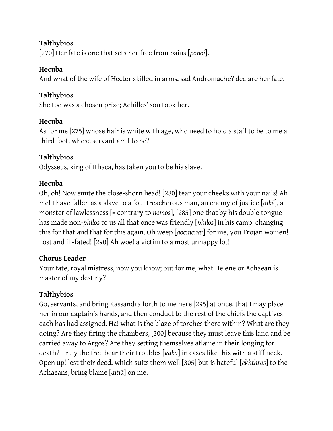# **Talthybios**

[270] Her fate is one that sets her free from pains [*ponoi*].

# **Hecuba**

And what of the wife of Hector skilled in arms, sad Andromache? declare her fate.

# **Talthybios**

She too was a chosen prize; Achilles' son took her.

# **Hecuba**

As for me [275] whose hair is white with age, who need to hold a staff to be to me a third foot, whose servant am I to be?

# **Talthybios**

Odysseus, king of Ithaca, has taken you to be his slave.

# **Hecuba**

Oh, oh! Now smite the close-shorn head! [280] tear your cheeks with your nails! Ah me! I have fallen as a slave to a foul treacherous man, an enemy of justice [*dikē*], a monster of lawlessness [= contrary to *nomos*], [285] one that by his double tongue has made non-*philos* to us all that once was friendly [*philos*] in his camp, changing this for that and that for this again. Oh weep [*goēmenai*] for me, you Trojan women! Lost and ill-fated! [290] Ah woe! a victim to a most unhappy lot!

# **Chorus Leader**

Your fate, royal mistress, now you know; but for me, what Helene or Achaean is master of my destiny?

# **Talthybios**

Go, servants, and bring Kassandra forth to me here [295] at once, that I may place her in our captain's hands, and then conduct to the rest of the chiefs the captives each has had assigned. Ha! what is the blaze of torches there within? What are they doing? Are they firing the chambers, [300] because they must leave this land and be carried away to Argos? Are they setting themselves aflame in their longing for death? Truly the free bear their troubles [*kaka*] in cases like this with a stiff neck. Open up! lest their deed, which suits them well [305] but is hateful [*ekhthros*] to the Achaeans, bring blame [*aitiā*] on me.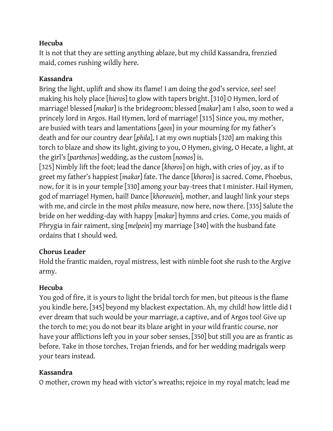It is not that they are setting anything ablaze, but my child Kassandra, frenzied maid, comes rushing wildly here.

# **Kassandra**

Bring the light, uplift and show its flame! I am doing the god's service, see! see! making his holy place [*hieros*] to glow with tapers bright. [310] O Hymen, lord of marriage! blessed [*makar*] is the bridegroom; blessed [*makar*] am I also, soon to wed a princely lord in Argos. Hail Hymen, lord of marriage! [315] Since you, my mother, are busied with tears and lamentations [*goos*] in your mourning for my father's death and for our country dear [*phila*], I at my own nuptials [320] am making this torch to blaze and show its light, giving to you, O Hymen, giving, O Hecate, a light, at the girl's [*parthenos*] wedding, as the custom [*nomos*] is.

[325] Nimbly lift the foot; lead the dance [*khoros*] on high, with cries of joy, as if to greet my father's happiest [*makar*] fate. The dance [*khoros*] is sacred. Come, Phoebus, now, for it is in your temple [330] among your bay-trees that I minister. Hail Hymen, god of marriage! Hymen, hail! Dance [*khoreuein*], mother, and laugh! link your steps with me, and circle in the most *philos* measure, now here, now there. [335] Salute the bride on her wedding-day with happy [*makar*] hymns and cries. Come, you maids of Phrygia in fair raiment, sing [*melpein*] my marriage [340] with the husband fate ordains that I should wed.

# **Chorus Leader**

Hold the frantic maiden, royal mistress, lest with nimble foot she rush to the Argive army.

# **Hecuba**

You god of fire, it is yours to light the bridal torch for men, but piteous is the flame you kindle here, [345] beyond my blackest expectation. Ah, my child! how little did I ever dream that such would be your marriage, a captive, and of Argos too! Give up the torch to me; you do not bear its blaze aright in your wild frantic course, nor have your afflictions left you in your sober senses, [350] but still you are as frantic as before. Take in those torches, Trojan friends, and for her wedding madrigals weep your tears instead.

# **Kassandra**

O mother, crown my head with victor's wreaths; rejoice in my royal match; lead me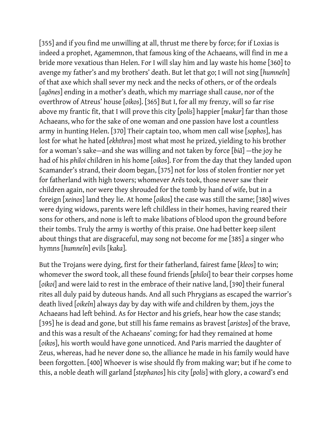[355] and if you find me unwilling at all, thrust me there by force; for if Loxias is indeed a prophet, Agamemnon, that famous king of the Achaeans, will find in me a bride more vexatious than Helen. For I will slay him and lay waste his home [360] to avenge my father's and my brothers' death. But let that go; I will not sing [*humneîn*] of that axe which shall sever my neck and the necks of others, or of the ordeals [*agōnes*] ending in a mother's death, which my marriage shall cause, nor of the overthrow of Atreus' house [*oikos*]. [365] But I, for all my frenzy, will so far rise above my frantic fit, that I will prove this city [*polis*] happier [*makar*] far than those Achaeans, who for the sake of one woman and one passion have lost a countless army in hunting Helen. [370] Their captain too, whom men call wise [*sophos*], has lost for what he hated [*ekhthros*] most what most he prized, yielding to his brother for a woman's sake—and she was willing and not taken by force [*biā*] —the joy he had of his *philoi* children in his home [*oikos*]. For from the day that they landed upon Scamander's strand, their doom began, [375] not for loss of stolen frontier nor yet for fatherland with high towers; whomever Arēs took, those never saw their children again, nor were they shrouded for the tomb by hand of wife, but in a foreign [*xeinos*] land they lie. At home [*oikos*] the case was still the same; [380] wives were dying widows, parents were left childless in their homes, having reared their sons for others, and none is left to make libations of blood upon the ground before their tombs. Truly the army is worthy of this praise. One had better keep silent about things that are disgraceful, may song not become for me [385] a singer who hymns [*humneîn*] evils [*kaka*].

But the Trojans were dying, first for their fatherland, fairest fame [*kleos*] to win; whomever the sword took, all these found friends [*philoi*] to bear their corpses home [*oikoi*] and were laid to rest in the embrace of their native land, [390] their funeral rites all duly paid by duteous hands. And all such Phrygians as escaped the warrior's death lived [*oikeîn*] always day by day with wife and children by them, joys the Achaeans had left behind. As for Hector and his griefs, hear how the case stands; [395] he is dead and gone, but still his fame remains as bravest [*aristos*] of the brave, and this was a result of the Achaeans' coming; for had they remained at home [*oikos*], his worth would have gone unnoticed. And Paris married the daughter of Zeus, whereas, had he never done so, the alliance he made in his family would have been forgotten. [400] Whoever is wise should fly from making war; but if he come to this, a noble death will garland [*stephanos*] his city [*polis*] with glory, a coward's end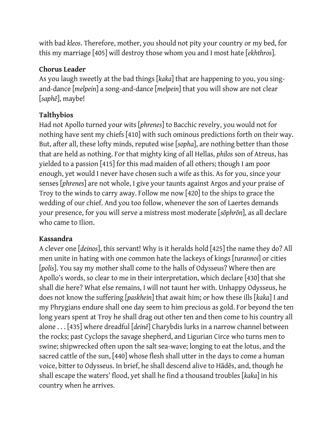with bad *kleos*. Therefore, mother, you should not pity your country or my bed, for this my marriage [405] will destroy those whom you and I most hate [*ekhthros*].

### **Chorus Leader**

As you laugh sweetly at the bad things [*kaka*] that are happening to you, you singand-dance [*melpein*] a song-and-dance [*melpein*] that you will show are not clear [*saphē*], maybe!

# **Talthybios**

Had not Apollo turned your wits [*phrenes*] to Bacchic revelry, you would not for nothing have sent my chiefs [410] with such ominous predictions forth on their way. But, after all, these lofty minds, reputed wise [*sopha*], are nothing better than those that are held as nothing. For that mighty king of all Hellas, *philos* son of Atreus, has yielded to a passion [415] for this mad maiden of all others; though I am poor enough, yet would I never have chosen such a wife as this. As for you, since your senses [*phrenes*] are not whole, I give your taunts against Argos and your praise of Troy to the winds to carry away. Follow me now [420] to the ships to grace the wedding of our chief. And you too follow, whenever the son of Laertes demands your presence, for you will serve a mistress most moderate [*sōphrōn*], as all declare who came to Ilion.

#### **Kassandra**

A clever one [*deinos*], this servant! Why is it heralds hold [425] the name they do? All men unite in hating with one common hate the lackeys of kings [*turannoi*] or cities [*polis*]. You say my mother shall come to the halls of Odysseus? Where then are Apollo's words, so clear to me in their interpretation, which declare [430] that she shall die here? What else remains, I will not taunt her with. Unhappy Odysseus, he does not know the suffering [*paskhein*] that await him; or how these ills [*kaka*] I and my Phrygians endure shall one day seem to him precious as gold. For beyond the ten long years spent at Troy he shall drag out other ten and then come to his country all alone . . . [435] where dreadful [*deinē*] Charybdis lurks in a narrow channel between the rocks; past Cyclops the savage shepherd, and Ligurian Circe who turns men to swine; shipwrecked often upon the salt sea-wave; longing to eat the lotus, and the sacred cattle of the sun, [440] whose flesh shall utter in the days to come a human voice, bitter to Odysseus. In brief, he shall descend alive to Hādēs, and, though he shall escape the waters' flood, yet shall he find a thousand troubles [*kaka*] in his country when he arrives.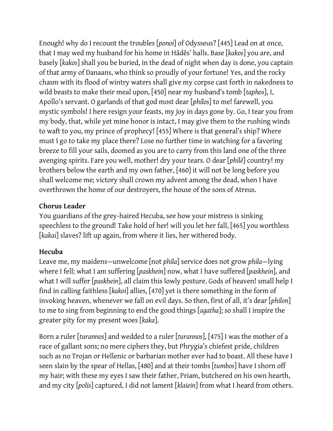Enough! why do I recount the troubles [*ponoi*] of Odysseus? [445] Lead on at once, that I may wed my husband for his home in Hādēs' halls. Base [*kakos*] you are, and basely [*kakos*] shall you be buried, in the dead of night when day is done, you captain of that army of Danaans, who think so proudly of your fortune! Yes, and the rocky chasm with its flood of wintry waters shall give my corpse cast forth in nakedness to wild beasts to make their meal upon, [450] near my husband's tomb [*taphos*], I, Apollo's servant. O garlands of that god most dear [*philos*] to me! farewell, you mystic symbols! I here resign your feasts, my joy in days gone by. Go, I tear you from my body, that, while yet mine honor is intact, I may give them to the rushing winds to waft to you, my prince of prophecy! [455] Where is that general's ship? Where must I go to take my place there? Lose no further time in watching for a favoring breeze to fill your sails, doomed as you are to carry from this land one of the three avenging spirits. Fare you well, mother! dry your tears. O dear [*philē*] country! my brothers below the earth and my own father, [460] it will not be long before you shall welcome me; victory shall crown my advent among the dead, when I have overthrown the home of our destroyers, the house of the sons of Atreus.

# **Chorus Leader**

You guardians of the grey-haired Hecuba, see how your mistress is sinking speechless to the ground! Take hold of her! will you let her fall, [465] you worthless [*kakai*] slaves? lift up again, from where it lies, her withered body.

# **Hecuba**

Leave me, my maidens—unwelcome [not *phila*] service does not grow *phila*—lying where I fell; what I am suffering [*paskhein*] now, what I have suffered [*paskhein*], and what I will suffer [*paskhein*], all claim this lowly posture. Gods of heaven! small help I find in calling faithless [*kakoi*] allies, [470] yet is there something in the form of invoking heaven, whenever we fall on evil days. So then, first of all, it's dear [*philon*] to me to sing from beginning to end the good things [*agatha*]; so shall I inspire the greater pity for my present woes [*kaka*].

Born a ruler [*turannos*] and wedded to a ruler [*turannos*], [475] I was the mother of a race of gallant sons; no mere ciphers they, but Phrygia's chiefest pride, children such as no Trojan or Hellenic or barbarian mother ever had to boast. All these have I seen slain by the spear of Hellas, [480] and at their tombs [*tumbos*] have I shorn off my hair; with these my eyes I saw their father, Priam, butchered on his own hearth, and my city [*polis*] captured, I did not lament [*klaiein*] from what I heard from others.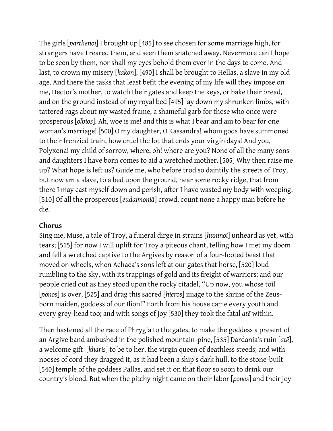The girls [*parthenoi*] I brought up [485] to see chosen for some marriage high, for strangers have I reared them, and seen them snatched away. Nevermore can I hope to be seen by them, nor shall my eyes behold them ever in the days to come. And last, to crown my misery [*kakon*], [490] I shall be brought to Hellas, a slave in my old age. And there the tasks that least befit the evening of my life will they impose on me, Hector's mother, to watch their gates and keep the keys, or bake their bread, and on the ground instead of my royal bed [495] lay down my shrunken limbs, with tattered rags about my wasted frame, a shameful garb for those who once were prosperous [*olbios*]. Ah, woe is me! and this is what I bear and am to bear for one woman's marriage! [500] O my daughter, O Kassandra! whom gods have summoned to their frenzied train, how cruel the lot that ends your virgin days! And you, Polyxena! my child of sorrow, where, oh! where are you? None of all the many sons and daughters I have born comes to aid a wretched mother. [505] Why then raise me up? What hope is left us? Guide me, who before trod so daintily the streets of Troy, but now am a slave, to a bed upon the ground, near some rocky ridge, that from there I may cast myself down and perish, after I have wasted my body with weeping. [510] Of all the prosperous [*eudaimoniā*] crowd, count none a happy man before he die.

#### **Chorus**

Sing me, Muse, a tale of Troy, a funeral dirge in strains [*humnoi*] unheard as yet, with tears; [515] for now I will uplift for Troy a piteous chant, telling how I met my doom and fell a wretched captive to the Argives by reason of a four-footed beast that moved on wheels, when Achaea's sons left at our gates that horse, [520] loud rumbling to the sky, with its trappings of gold and its freight of warriors; and our people cried out as they stood upon the rocky citadel, "Up now, you whose toil [*ponos*] is over, [525] and drag this sacred [*hieros*] image to the shrine of the Zeusborn maiden, goddess of our Ilion!" Forth from his house came every youth and every grey-head too; and with songs of joy [530] they took the fatal *atē* within.

Then hastened all the race of Phrygia to the gates, to make the goddess a present of an Argive band ambushed in the polished mountain-pine, [535] Dardania's ruin [*atē*], a welcome gift [*kharis*] to be to her, the virgin queen of deathless steeds; and with nooses of cord they dragged it, as it had been a ship's dark hull, to the stone-built [540] temple of the goddess Pallas, and set it on that floor so soon to drink our country's blood. But when the pitchy night came on their labor [*ponos*] and their joy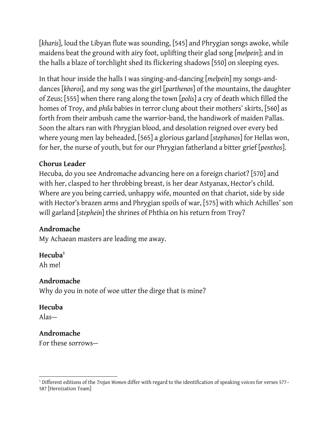[*kharis*], loud the Libyan flute was sounding, [545] and Phrygian songs awoke, while maidens beat the ground with airy foot, uplifting their glad song [*melpein*]; and in the halls a blaze of torchlight shed its flickering shadows [550] on sleeping eyes.

In that hour inside the halls I was singing-and-dancing [*melpein*] my songs-anddances [*khoroi*], and my song was the girl [*parthenos*] of the mountains, the daughter of Zeus; [555] when there rang along the town [*polis*] a cry of death which filled the homes of Troy, and *phila* babies in terror clung about their mothers' skirts, [560] as forth from their ambush came the warrior-band, the handiwork of maiden Pallas. Soon the altars ran with Phrygian blood, and desolation reigned over every bed where young men lay beheaded, [565] a glorious garland [*stephanos*] for Hellas won, for her, the nurse of youth, but for our Phrygian fatherland a bitter grief [*penthos*].

#### **Chorus Leader**

Hecuba, do you see Andromache advancing here on a foreign chariot? [570] and with her, clasped to her throbbing breast, is her dear Astyanax, Hector's child. Where are you being carried, unhappy wife, mounted on that chariot, side by side with Hector's brazen arms and Phrygian spoils of war, [575] with which Achilles' son will garland [*stephein*] the shrines of Phthia on his return from Troy?

# **Andromache**

My Achaean masters are leading me away.

#### **Hecuba<sup>1</sup>**

Ah me!

#### **Andromache**

Why do you in note of woe utter the dirge that is mine?

#### **Hecuba**

Alas—

#### **Andromache**

For these sorrows—

 <sup>1</sup> Different editions of the *Trojan Women* differ with regard to the identification of speaking voices for verses 577– 587 [Heroization Team]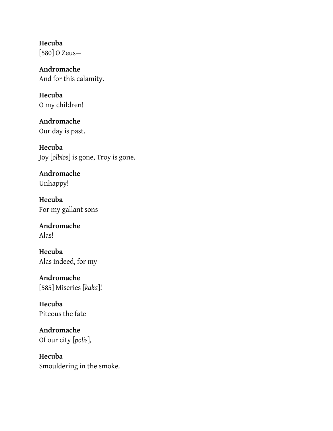**Hecuba** [580] O Zeus—

**Andromache** And for this calamity.

**Hecuba** O my children!

**Andromache** Our day is past.

**Hecuba** Joy [*olbios*] is gone, Troy is gone.

**Andromache** Unhappy!

**Hecuba** For my gallant sons

**Andromache** Alas!

**Hecuba** Alas indeed, for my

**Andromache** [585] Miseries [*kaka*]!

**Hecuba** Piteous the fate

**Andromache** Of our city [*polis*],

**Hecuba** Smouldering in the smoke.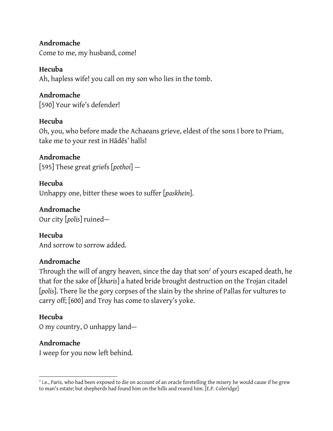#### **Andromache**

Come to me, my husband, come!

### **Hecuba**

Ah, hapless wife! you call on my son who lies in the tomb.

# **Andromache**

[590] Your wife's defender!

# **Hecuba**

Oh, you, who before made the Achaeans grieve, eldest of the sons I bore to Priam, take me to your rest in Hādēs' halls!

**Andromache** [595] These great griefs [*pothoi*] —

# **Hecuba** Unhappy one, bitter these woes to suffer [*paskhein*].

**Andromache** Our city [*polis*] ruined—

**Hecuba** And sorrow to sorrow added.

# **Andromache**

Through the will of angry heaven, since the day that son $^2$  of yours escaped death, he that for the sake of [*kharis*] a hated bride brought destruction on the Trojan citadel [*polis*]. There lie the gory corpses of the slain by the shrine of Pallas for vultures to carry off; [600] and Troy has come to slavery's yoke.

# **Hecuba**

O my country, O unhappy land—

# **Andromache**

I weep for you now left behind.

  $^2$  i.e., Paris, who had been exposed to die on account of an oracle foretelling the misery he would cause if he grew to man's estate; but shepherds had found him on the hills and reared him. [E.P. Coleridge]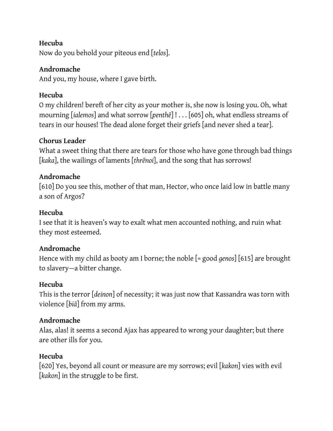Now do you behold your piteous end [*telos*].

# **Andromache**

And you, my house, where I gave birth.

# **Hecuba**

O my children! bereft of her city as your mother is, she now is losing you. Oh, what mourning [*ialemos*] and what sorrow [*penthē*] ! . . . [605] oh, what endless streams of tears in our houses! The dead alone forget their griefs [and never shed a tear].

# **Chorus Leader**

What a sweet thing that there are tears for those who have gone through bad things [*kaka*], the wailings of laments [*thrēnoi*], and the song that has sorrows!

# **Andromache**

[610] Do you see this, mother of that man, Hector, who once laid low in battle many a son of Argos?

### **Hecuba**

I see that it is heaven's way to exalt what men accounted nothing, and ruin what they most esteemed.

#### **Andromache**

Hence with my child as booty am I borne; the noble [= good *genos*] [615] are brought to slavery—a bitter change.

#### **Hecuba**

This is the terror [*deinon*] of necessity; it was just now that Kassandra was torn with violence [*biā*] from my arms.

#### **Andromache**

Alas, alas! it seems a second Ajax has appeared to wrong your daughter; but there are other ills for you.

#### **Hecuba**

[620] Yes, beyond all count or measure are my sorrows; evil [*kakon*] vies with evil [*kakon*] in the struggle to be first.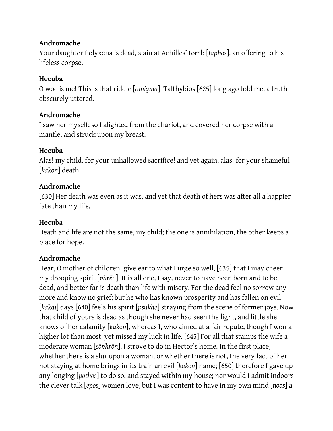### **Andromache**

Your daughter Polyxena is dead, slain at Achilles' tomb [*taphos*], an offering to his lifeless corpse.

# **Hecuba**

O woe is me! This is that riddle [*ainigma*] Talthybios [625] long ago told me, a truth obscurely uttered.

# **Andromache**

I saw her myself; so I alighted from the chariot, and covered her corpse with a mantle, and struck upon my breast.

# **Hecuba**

Alas! my child, for your unhallowed sacrifice! and yet again, alas! for your shameful [*kakon*] death!

# **Andromache**

[630] Her death was even as it was, and yet that death of hers was after all a happier fate than my life.

# **Hecuba**

Death and life are not the same, my child; the one is annihilation, the other keeps a place for hope.

# **Andromache**

Hear, O mother of children! give ear to what I urge so well, [635] that I may cheer my drooping spirit [*phrēn*]. It is all one, I say, never to have been born and to be dead, and better far is death than life with misery. For the dead feel no sorrow any more and know no grief; but he who has known prosperity and has fallen on evil [*kakai*] days [640] feels his spirit [*psūkhē*] straying from the scene of former joys. Now that child of yours is dead as though she never had seen the light, and little she knows of her calamity [*kakon*]; whereas I, who aimed at a fair repute, though I won a higher lot than most, yet missed my luck in life. [645] For all that stamps the wife a moderate woman [*sōphrōn*], I strove to do in Hector's home. In the first place, whether there is a slur upon a woman, or whether there is not, the very fact of her not staying at home brings in its train an evil [*kakon*] name; [650] therefore I gave up any longing [*pothos*] to do so, and stayed within my house; nor would I admit indoors the clever talk [*epos*] women love, but I was content to have in my own mind [*noos*] a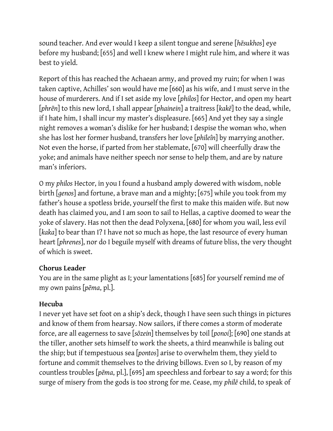sound teacher. And ever would I keep a silent tongue and serene [*hēsukhos*] eye before my husband; [655] and well I knew where I might rule him, and where it was best to yield.

Report of this has reached the Achaean army, and proved my ruin; for when I was taken captive, Achilles' son would have me [660] as his wife, and I must serve in the house of murderers. And if I set aside my love [*philos*] for Hector, and open my heart [*phrēn*] to this new lord, I shall appear [*phainein*] a traitress [*kakē*] to the dead, while, if I hate him, I shall incur my master's displeasure. [665] And yet they say a single night removes a woman's dislike for her husband; I despise the woman who, when she has lost her former husband, transfers her love [*phileîn*] by marrying another. Not even the horse, if parted from her stablemate, [670] will cheerfully draw the yoke; and animals have neither speech nor sense to help them, and are by nature man's inferiors.

O my *philos* Hector, in you I found a husband amply dowered with wisdom, noble birth [*genos*] and fortune, a brave man and a mighty; [675] while you took from my father's house a spotless bride, yourself the first to make this maiden wife. But now death has claimed you, and I am soon to sail to Hellas, a captive doomed to wear the yoke of slavery. Has not then the dead Polyxena, [680] for whom you wail, less evil [*kaka*] to bear than I? I have not so much as hope, the last resource of every human heart [*phrenes*], nor do I beguile myself with dreams of future bliss, the very thought of which is sweet.

#### **Chorus Leader**

You are in the same plight as I; your lamentations [685] for yourself remind me of my own pains [*pēma*, pl.].

#### **Hecuba**

I never yet have set foot on a ship's deck, though I have seen such things in pictures and know of them from hearsay. Now sailors, if there comes a storm of moderate force, are all eagerness to save [*sōzein*] themselves by toil [*ponoi*]; [690] one stands at the tiller, another sets himself to work the sheets, a third meanwhile is baling out the ship; but if tempestuous sea [*pontos*] arise to overwhelm them, they yield to fortune and commit themselves to the driving billows. Even so I, by reason of my countless troubles [*pēma*, pl.], [695] am speechless and forbear to say a word; for this surge of misery from the gods is too strong for me. Cease, my *philē* child, to speak of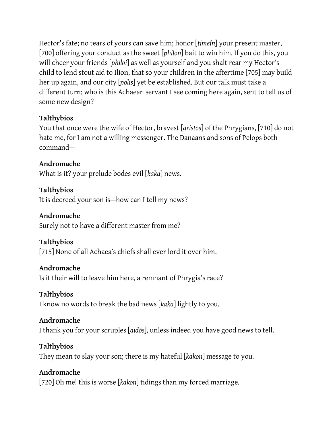Hector's fate; no tears of yours can save him; honor [*timeîn*] your present master, [700] offering your conduct as the sweet [*philon*] bait to win him. If you do this, you will cheer your friends [*philoi*] as well as yourself and you shalt rear my Hector's child to lend stout aid to Ilion, that so your children in the aftertime [705] may build her up again, and our city [*polis*] yet be established. But our talk must take a different turn; who is this Achaean servant I see coming here again, sent to tell us of some new design?

# **Talthybios**

You that once were the wife of Hector, bravest [*aristos*] of the Phrygians, [710] do not hate me, for I am not a willing messenger. The Danaans and sons of Pelops both command—

# **Andromache**

What is it? your prelude bodes evil [*kaka*] news.

**Talthybios** It is decreed your son is—how can I tell my news?

### **Andromache**

Surely not to have a different master from me?

# **Talthybios**

[715] None of all Achaea's chiefs shall ever lord it over him.

# **Andromache**

Is it their will to leave him here, a remnant of Phrygia's race?

# **Talthybios**

I know no words to break the bad news [*kaka*] lightly to you.

# **Andromache**

I thank you for your scruples [*aidōs*], unless indeed you have good news to tell.

# **Talthybios**

They mean to slay your son; there is my hateful [*kakon*] message to you.

# **Andromache**

[720] Oh me! this is worse [*kakon*] tidings than my forced marriage.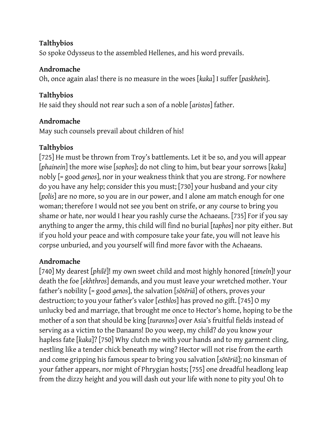# **Talthybios**

So spoke Odysseus to the assembled Hellenes, and his word prevails.

# **Andromache**

Oh, once again alas! there is no measure in the woes [*kaka*] I suffer [*paskhein*].

# **Talthybios**

He said they should not rear such a son of a noble [*aristos*] father.

# **Andromache**

May such counsels prevail about children of his!

# **Talthybios**

[725] He must be thrown from Troy's battlements. Let it be so, and you will appear [*phainein*] the more wise [*sophos*]; do not cling to him, but bear your sorrows [*kaka*] nobly [= good *genos*], nor in your weakness think that you are strong. For nowhere do you have any help; consider this you must; [730] your husband and your city [*polis*] are no more, so you are in our power, and I alone am match enough for one woman; therefore I would not see you bent on strife, or any course to bring you shame or hate, nor would I hear you rashly curse the Achaeans. [735] For if you say anything to anger the army, this child will find no burial [*taphos*] nor pity either. But if you hold your peace and with composure take your fate, you will not leave his corpse unburied, and you yourself will find more favor with the Achaeans.

# **Andromache**

[740] My dearest [*philē*]! my own sweet child and most highly honored [*timeîn*]! your death the foe [*ekhthros*] demands, and you must leave your wretched mother. Your father's nobility [= good *genos*], the salvation [*sōtēriā*] of others, proves your destruction; to you your father's valor [*esthlos*] has proved no gift. [745] O my unlucky bed and marriage, that brought me once to Hector's home, hoping to be the mother of a son that should be king [*turannos*] over Asia's fruitful fields instead of serving as a victim to the Danaans! Do you weep, my child? do you know your hapless fate [*kaka*]? [750] Why clutch me with your hands and to my garment cling, nestling like a tender chick beneath my wing? Hector will not rise from the earth and come gripping his famous spear to bring you salvation [*sōtēriā*]; no kinsman of your father appears, nor might of Phrygian hosts; [755] one dreadful headlong leap from the dizzy height and you will dash out your life with none to pity you! Oh to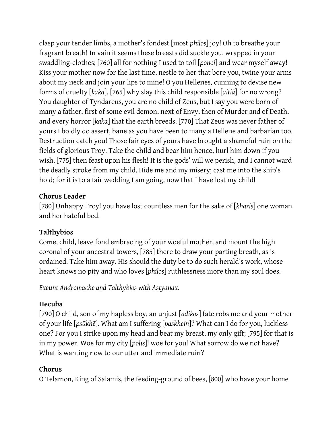clasp your tender limbs, a mother's fondest [most *philos*] joy! Oh to breathe your fragrant breath! In vain it seems these breasts did suckle you, wrapped in your swaddling-clothes; [760] all for nothing I used to toil [*ponoi*] and wear myself away! Kiss your mother now for the last time, nestle to her that bore you, twine your arms about my neck and join your lips to mine! O you Hellenes, cunning to devise new forms of cruelty [*kaka*], [765] why slay this child responsible [*aitiā*] for no wrong? You daughter of Tyndareus, you are no child of Zeus, but I say you were born of many a father, first of some evil demon, next of Envy, then of Murder and of Death, and every horror [*kaka*] that the earth breeds. [770] That Zeus was never father of yours I boldly do assert, bane as you have been to many a Hellene and barbarian too. Destruction catch you! Those fair eyes of yours have brought a shameful ruin on the fields of glorious Troy. Take the child and bear him hence, hurl him down if you wish, [775] then feast upon his flesh! It is the gods' will we perish, and I cannot ward the deadly stroke from my child. Hide me and my misery; cast me into the ship's hold; for it is to a fair wedding I am going, now that I have lost my child!

### **Chorus Leader**

[780] Unhappy Troy! you have lost countless men for the sake of [*kharis*] one woman and her hateful bed.

# **Talthybios**

Come, child, leave fond embracing of your woeful mother, and mount the high coronal of your ancestral towers, [785] there to draw your parting breath, as is ordained. Take him away. His should the duty be to do such herald's work, whose heart knows no pity and who loves [*philos*] ruthlessness more than my soul does.

*Exeunt Andromache and Talthybios with Astyanax.*

# **Hecuba**

[790] O child, son of my hapless boy, an unjust [*adikos*] fate robs me and your mother of your life [*psūkhē*]. What am I suffering [*paskhein*]? What can I do for you, luckless one? For you I strike upon my head and beat my breast, my only gift; [795] for that is in my power. Woe for my city [*polis*]! woe for you! What sorrow do we not have? What is wanting now to our utter and immediate ruin?

# **Chorus**

O Telamon, King of Salamis, the feeding-ground of bees, [800] who have your home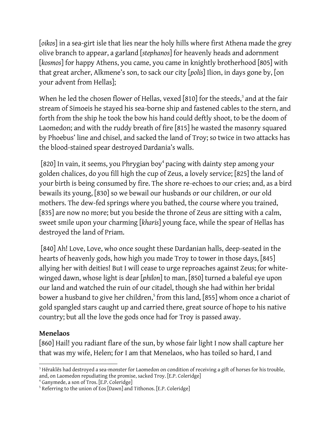[*oikos*] in a sea-girt isle that lies near the holy hills where first Athena made the grey olive branch to appear, a garland [*stephanos*] for heavenly heads and adornment [*kosmos*] for happy Athens, you came, you came in knightly brotherhood [805] with that great archer, Alkmene's son, to sack our city [*polis*] Ilion, in days gone by, [on your advent from Hellas];

When he led the chosen flower of Hellas, vexed [810] for the steeds,<sup>3</sup> and at the fair stream of Simoeis he stayed his sea-borne ship and fastened cables to the stern, and forth from the ship he took the bow his hand could deftly shoot, to be the doom of Laomedon; and with the ruddy breath of fire [815] he wasted the masonry squared by Phoebus' line and chisel, and sacked the land of Troy; so twice in two attacks has the blood-stained spear destroyed Dardania's walls.

 $[820]$  In vain, it seems, you Phrygian boy $^4$  pacing with dainty step among your golden chalices, do you fill high the cup of Zeus, a lovely service; [825] the land of your birth is being consumed by fire. The shore re-echoes to our cries; and, as a bird bewails its young, [830] so we bewail our husbands or our children, or our old mothers. The dew-fed springs where you bathed, the course where you trained, [835] are now no more; but you beside the throne of Zeus are sitting with a calm, sweet smile upon your charming [*kharis*] young face, while the spear of Hellas has destroyed the land of Priam.

[840] Ah! Love, Love, who once sought these Dardanian halls, deep-seated in the hearts of heavenly gods, how high you made Troy to tower in those days, [845] allying her with deities! But I will cease to urge reproaches against Zeus; for whitewinged dawn, whose light is dear [*philon*] to man, [850] turned a baleful eye upon our land and watched the ruin of our citadel, though she had within her bridal bower a husband to give her children,<sup>5</sup> from this land, [855] whom once a chariot of gold spangled stars caught up and carried there, great source of hope to his native country; but all the love the gods once had for Troy is passed away.

#### **Menelaos**

[860] Hail! you radiant flare of the sun, by whose fair light I now shall capture her that was my wife, Helen; for I am that Menelaos, who has toiled so hard, I and

<sup>4</sup> Ganymede, a son of Tros. [E.P. Coleridge]

 <sup>3</sup> Hēraklēs had destroyed a sea-monster for Laomedon on condition of receiving a gift of horses for his trouble, and, on Laomedon repudiating the promise, sacked Troy. [E.P. Coleridge]

<sup>&</sup>lt;sup>5</sup> Referring to the union of Eos [Dawn] and Tithonos. [E.P. Coleridge]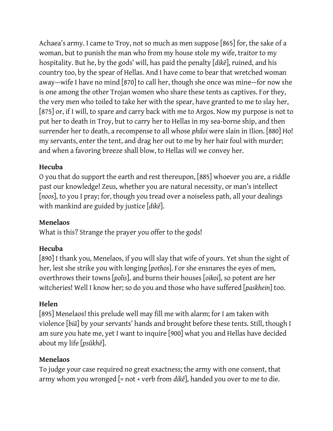Achaea's army. I came to Troy, not so much as men suppose [865] for, the sake of a woman, but to punish the man who from my house stole my wife, traitor to my hospitality. But he, by the gods' will, has paid the penalty [*dikē*], ruined, and his country too, by the spear of Hellas. And I have come to bear that wretched woman away—wife I have no mind [870] to call her, though she once was mine—for now she is one among the other Trojan women who share these tents as captives. For they, the very men who toiled to take her with the spear, have granted to me to slay her, [875] or, if I will, to spare and carry back with me to Argos. Now my purpose is not to put her to death in Troy, but to carry her to Hellas in my sea-borne ship, and then surrender her to death, a recompense to all whose *philoi* were slain in Ilion. [880] Ho! my servants, enter the tent, and drag her out to me by her hair foul with murder; and when a favoring breeze shall blow, to Hellas will we convey her.

# **Hecuba**

O you that do support the earth and rest thereupon, [885] whoever you are, a riddle past our knowledge! Zeus, whether you are natural necessity, or man's intellect [*noos*], to you I pray; for, though you tread over a noiseless path, all your dealings with mankind are guided by justice [*dikē*].

# **Menelaos**

What is this? Strange the prayer you offer to the gods!

# **Hecuba**

[890] I thank you, Menelaos, if you will slay that wife of yours. Yet shun the sight of her, lest she strike you with longing [*pothos*]. For she ensnares the eyes of men, overthrows their towns [*polis*], and burns their houses [*oikoi*], so potent are her witcheries! Well I know her; so do you and those who have suffered [*paskhein*] too.

#### **Helen**

[895] Menelaos! this prelude well may fill me with alarm; for I am taken with violence [*biā*] by your servants' hands and brought before these tents. Still, though I am sure you hate me, yet I want to inquire [900] what you and Hellas have decided about my life [*psūkhē*].

#### **Menelaos**

To judge your case required no great exactness; the army with one consent, that army whom you wronged [= not + verb from *dikē*], handed you over to me to die.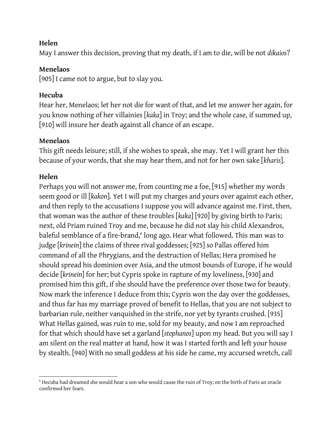#### **Helen**

May I answer this decision, proving that my death, if I am to die, will be not *dikaios*?

#### **Menelaos**

[905] I came not to argue, but to slay you.

# **Hecuba**

Hear her, Menelaos; let her not die for want of that, and let me answer her again, for you know nothing of her villainies [*kaka*] in Troy; and the whole case, if summed up, [910] will insure her death against all chance of an escape.

# **Menelaos**

This gift needs leisure; still, if she wishes to speak, she may. Yet I will grant her this because of your words, that she may hear them, and not for her own sake [*kharis*].

# **Helen**

Perhaps you will not answer me, from counting me a foe, [915] whether my words seem good or ill [*kakon*]. Yet I will put my charges and yours over against each other, and then reply to the accusations I suppose you will advance against me. First, then, that woman was the author of these troubles [*kaka*] [920] by giving birth to Paris; next, old Priam ruined Troy and me, because he did not slay his child Alexandros, baleful semblance of a fire-brand,<sup>6</sup> long ago. Hear what followed. This man was to judge [*krinein*] the claims of three rival goddesses; [925] so Pallas offered him command of all the Phrygians, and the destruction of Hellas; Hera promised he should spread his dominion over Asia, and the utmost bounds of Europe, if he would decide [*krinein*] for her; but Cypris spoke in rapture of my loveliness, [930] and promised him this gift, if she should have the preference over those two for beauty. Now mark the inference I deduce from this; Cypris won the day over the goddesses, and thus far has my marriage proved of benefit to Hellas, that you are not subject to barbarian rule, neither vanquished in the strife, nor yet by tyrants crushed. [935] What Hellas gained, was ruin to me, sold for my beauty, and now I am reproached for that which should have set a garland [*stephanos*] upon my head. But you will say I am silent on the real matter at hand, how it was I started forth and left your house by stealth. [940] With no small goddess at his side he came, my accursed wretch, call

 <sup>6</sup> Hecuba had dreamed she would hear a son who would cause the ruin of Troy; on the birth of Paris an oracle confirmed her fears.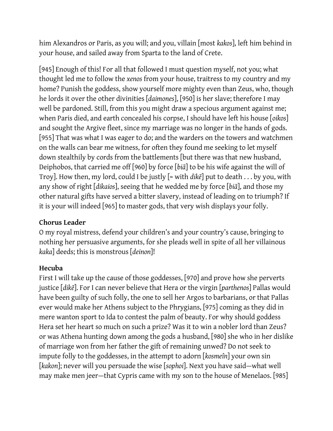him Alexandros or Paris, as you will; and you, villain [most *kakos*], left him behind in your house, and sailed away from Sparta to the land of Crete.

[945] Enough of this! For all that followed I must question myself, not you; what thought led me to follow the *xenos* from your house, traitress to my country and my home? Punish the goddess, show yourself more mighty even than Zeus, who, though he lords it over the other divinities [*daimones*], [950] is her slave; therefore I may well be pardoned. Still, from this you might draw a specious argument against me; when Paris died, and earth concealed his corpse, I should have left his house [*oikos*] and sought the Argive fleet, since my marriage was no longer in the hands of gods. [955] That was what I was eager to do; and the warders on the towers and watchmen on the walls can bear me witness, for often they found me seeking to let myself down stealthily by cords from the battlements [but there was that new husband, Deiphobos, that carried me off [960] by force [*biā*] to be his wife against the will of Troy]. How then, my lord, could I be justly [= with *dikē*] put to death . . . by you, with any show of right [*dikaios*], seeing that he wedded me by force [*biā*], and those my other natural gifts have served a bitter slavery, instead of leading on to triumph? If it is your will indeed [965] to master gods, that very wish displays your folly.

#### **Chorus Leader**

O my royal mistress, defend your children's and your country's cause, bringing to nothing her persuasive arguments, for she pleads well in spite of all her villainous *kaka*] deeds; this is monstrous [*deinon*]!

#### **Hecuba**

First I will take up the cause of those goddesses, [970] and prove how she perverts justice [*dikē*]. For I can never believe that Hera or the virgin [*parthenos*] Pallas would have been guilty of such folly, the one to sell her Argos to barbarians, or that Pallas ever would make her Athens subject to the Phrygians, [975] coming as they did in mere wanton sport to Ida to contest the palm of beauty. For why should goddess Hera set her heart so much on such a prize? Was it to win a nobler lord than Zeus? or was Athena hunting down among the gods a husband, [980] she who in her dislike of marriage won from her father the gift of remaining unwed? Do not seek to impute folly to the goddesses, in the attempt to adorn [*kosmeîn*] your own sin [*kakon*]; never will you persuade the wise [*sophoi*]. Next you have said—what well may make men jeer—that Cypris came with my son to the house of Menelaos. [985]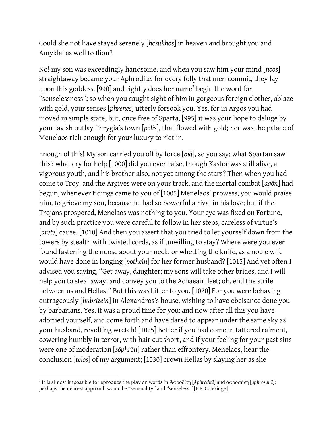Could she not have stayed serenely [*hēsukhos*] in heaven and brought you and Amyklai as well to Ilion?

No! my son was exceedingly handsome, and when you saw him your mind [*noos*] straightaway became your Aphrodite; for every folly that men commit, they lay upon this goddess, [990] and rightly does her name<sup>7</sup> begin the word for "senselessness"; so when you caught sight of him in gorgeous foreign clothes, ablaze with gold, your senses [*phrenes*] utterly forsook you. Yes, for in Argos you had moved in simple state, but, once free of Sparta, [995] it was your hope to deluge by your lavish outlay Phrygia's town [*polis*], that flowed with gold; nor was the palace of Menelaos rich enough for your luxury to riot in.

Enough of this! My son carried you off by force [*biā*], so you say; what Spartan saw this? what cry for help [1000] did you ever raise, though Kastor was still alive, a vigorous youth, and his brother also, not yet among the stars? Then when you had come to Troy, and the Argives were on your track, and the mortal combat [*agōn*] had begun, whenever tidings came to you of [1005] Menelaos' prowess, you would praise him, to grieve my son, because he had so powerful a rival in his love; but if the Trojans prospered, Menelaos was nothing to you. Your eye was fixed on Fortune, and by such practice you were careful to follow in her steps, careless of virtue's [*aretē*] cause. [1010] And then you assert that you tried to let yourself down from the towers by stealth with twisted cords, as if unwilling to stay? Where were you ever found fastening the noose about your neck, or whetting the knife, as a noble wife would have done in longing [*potheîn*] for her former husband? [1015] And yet often I advised you saying, "Get away, daughter; my sons will take other brides, and I will help you to steal away, and convey you to the Achaean fleet; oh, end the strife between us and Hellas!" But this was bitter to you. [1020] For you were behaving outrageously [*hubrizein*] in Alexandros's house, wishing to have obeisance done you by barbarians. Yes, it was a proud time for you; and now after all this you have adorned yourself, and come forth and have dared to appear under the same sky as your husband, revolting wretch! [1025] Better if you had come in tattered raiment, cowering humbly in terror, with hair cut short, and if your feeling for your past sins were one of moderation [*sōphrōn*] rather than effrontery. Menelaos, hear the conclusion [*telos*] of my argument; [1030] crown Hellas by slaying her as she

 $\overline{a}$ 

<sup>7</sup> It is almost impossible to reproduce the play on words in Ἀφροδίτη [*Aphroditē*] and ἀφροσύνη [*aphrosunē*]; perhaps the nearest approach would be "sensuality" and "senseless." [E.P. Coleridge]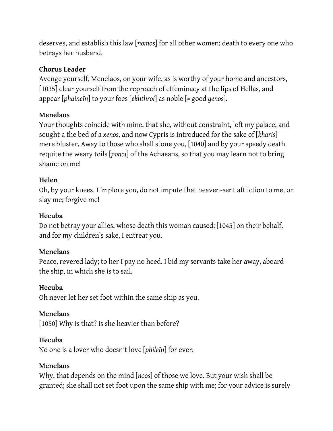deserves, and establish this law [*nomos*] for all other women: death to every one who betrays her husband.

#### **Chorus Leader**

Avenge yourself, Menelaos, on your wife, as is worthy of your home and ancestors, [1035] clear yourself from the reproach of effeminacy at the lips of Hellas, and appear [*phaineîn*] to your foes [*ekhthroi*] as noble [*=* good *genos*].

#### **Menelaos**

Your thoughts coincide with mine, that she, without constraint, left my palace, and sought a the bed of a *xenos*, and now Cypris is introduced for the sake of [*kharis*] mere bluster. Away to those who shall stone you, [1040] and by your speedy death requite the weary toils [*ponoi*] of the Achaeans, so that you may learn not to bring shame on me!

#### **Helen**

Oh, by your knees, I implore you, do not impute that heaven-sent affliction to me, or slay me; forgive me!

#### **Hecuba**

Do not betray your allies, whose death this woman caused; [1045] on their behalf, and for my children's sake, I entreat you.

#### **Menelaos**

Peace, revered lady; to her I pay no heed. I bid my servants take her away, aboard the ship, in which she is to sail.

#### **Hecuba**

Oh never let her set foot within the same ship as you.

#### **Menelaos**

[1050] Why is that? is she heavier than before?

#### **Hecuba**

No one is a lover who doesn't love [*phileîn*] for ever.

#### **Menelaos**

Why, that depends on the mind [*noos*] of those we love. But your wish shall be granted; she shall not set foot upon the same ship with me; for your advice is surely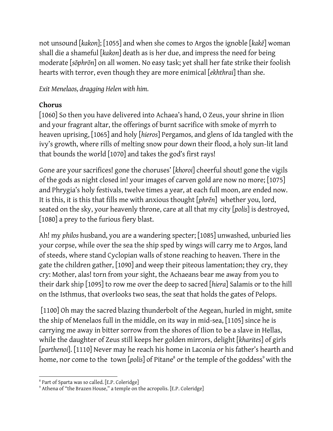not unsound [*kakon*]; [1055] and when she comes to Argos the ignoble [*kakē*] woman shall die a shameful [*kakon*] death as is her due, and impress the need for being moderate [*sōphrōn*] on all women. No easy task; yet shall her fate strike their foolish hearts with terror, even though they are more enimical [*ekhthrai*] than she.

*Exit Menelaos, dragging Helen with him.*

# **Chorus**

[1060] So then you have delivered into Achaea's hand, O Zeus, your shrine in Ilion and your fragrant altar, the offerings of burnt sacrifice with smoke of myrrh to heaven uprising, [1065] and holy [*hieros*] Pergamos, and glens of Ida tangled with the ivy's growth, where rills of melting snow pour down their flood, a holy sun-lit land that bounds the world [1070] and takes the god's first rays!

Gone are your sacrifices! gone the choruses' [*khoroi*] cheerful shout! gone the vigils of the gods as night closed in! your images of carven gold are now no more; [1075] and Phrygia's holy festivals, twelve times a year, at each full moon, are ended now. It is this, it is this that fills me with anxious thought [*phrēn*] whether you, lord, seated on the sky, your heavenly throne, care at all that my city [*polis*] is destroyed, [1080] a prey to the furious fiery blast.

Ah! my *philos* husband, you are a wandering specter; [1085] unwashed, unburied lies your corpse, while over the sea the ship sped by wings will carry me to Argos, land of steeds, where stand Cyclopian walls of stone reaching to heaven. There in the gate the children gather, [1090] and weep their piteous lamentation; they cry, they cry: Mother, alas! torn from your sight, the Achaeans bear me away from you to their dark ship [1095] to row me over the deep to sacred [*hiera*] Salamis or to the hill on the Isthmus, that overlooks two seas, the seat that holds the gates of Pelops.

[1100] Oh may the sacred blazing thunderbolt of the Aegean, hurled in might, smite the ship of Menelaos full in the middle, on its way in mid-sea, [1105] since he is carrying me away in bitter sorrow from the shores of Ilion to be a slave in Hellas, while the daughter of Zeus still keeps her golden mirrors, delight [*kharites*] of girls [*parthenoi*]. [1110] Never may he reach his home in Laconia or his father's hearth and home, nor come to the town [polis] of Pitane<sup>8</sup> or the temple of the goddess<sup>9</sup> with the

 <sup>8</sup> Part of Sparta was so called. [E.P. Coleridge]

<sup>&</sup>lt;sup>9</sup> Athena of "the Brazen House," a temple on the acropolis. [E.P. Coleridge]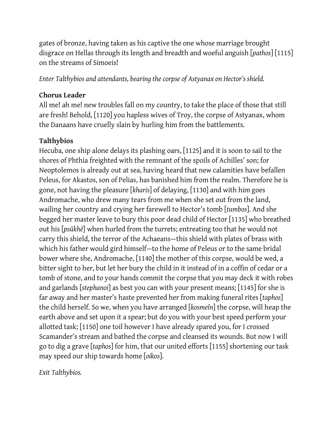gates of bronze, having taken as his captive the one whose marriage brought disgrace on Hellas through its length and breadth and woeful anguish [*pathos*] [1115] on the streams of Simoeis!

*Enter Talthybios and attendants, bearing the corpse of Astyanax on Hector's shield.*

# **Chorus Leader**

All me! ah me! new troubles fall on my country, to take the place of those that still are fresh! Behold, [1120] you hapless wives of Troy, the corpse of Astyanax, whom the Danaans have cruelly slain by hurling him from the battlements.

# **Talthybios**

Hecuba, one ship alone delays its plashing oars, [1125] and it is soon to sail to the shores of Phthia freighted with the remnant of the spoils of Achilles' son; for Neoptolemos is already out at sea, having heard that new calamities have befallen Peleus, for Akastos, son of Pelias, has banished him from the realm. Therefore he is gone, not having the pleasure [*kharis*] of delaying, [1130] and with him goes Andromache, who drew many tears from me when she set out from the land, wailing her country and crying her farewell to Hector's tomb [*tumbos*]. And she begged her master leave to bury this poor dead child of Hector [1135] who breathed out his [*psūkhē*] when hurled from the turrets; entreating too that he would not carry this shield, the terror of the Achaeans—this shield with plates of brass with which his father would gird himself—to the home of Peleus or to the same bridal bower where she, Andromache, [1140] the mother of this corpse, would be wed, a bitter sight to her, but let her bury the child in it instead of in a coffin of cedar or a tomb of stone, and to your hands commit the corpse that you may deck it with robes and garlands [*stephanoi*] as best you can with your present means; [1145] for she is far away and her master's haste prevented her from making funeral rites [*taphos*] the child herself. So we, when you have arranged [*kosmeîn*] the corpse, will heap the earth above and set upon it a spear; but do you with your best speed perform your allotted task; [1150] one toil however I have already spared you, for I crossed Scamander's stream and bathed the corpse and cleansed its wounds. But now I will go to dig a grave [*taphos*] for him, that our united efforts [1155] shortening our task may speed our ship towards home [*oikos*].

*Exit Talthybios.*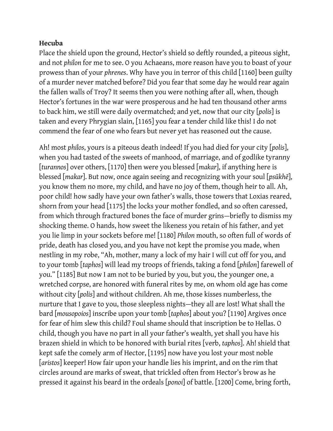Place the shield upon the ground, Hector's shield so deftly rounded, a piteous sight, and not *philon* for me to see. O you Achaeans, more reason have you to boast of your prowess than of your *phrenes*. Why have you in terror of this child [1160] been guilty of a murder never matched before? Did you fear that some day he would rear again the fallen walls of Troy? It seems then you were nothing after all, when, though Hector's fortunes in the war were prosperous and he had ten thousand other arms to back him, we still were daily overmatched; and yet, now that our city [*polis*] is taken and every Phrygian slain, [1165] you fear a tender child like this! I do not commend the fear of one who fears but never yet has reasoned out the cause.

Ah! most *philos*, yours is a piteous death indeed! If you had died for your city [*polis*], when you had tasted of the sweets of manhood, of marriage, and of godlike tyranny [*turannos*] over others, [1170] then were you blessed [*makar*], if anything here is blessed [*makar*]. But now, once again seeing and recognizing with your soul [*psūkhē*], you know them no more, my child, and have no joy of them, though heir to all. Ah, poor child! how sadly have your own father's walls, those towers that Loxias reared, shorn from your head [1175] the locks your mother fondled, and so often caressed, from which through fractured bones the face of murder grins—briefly to dismiss my shocking theme. O hands, how sweet the likeness you retain of his father, and yet you lie limp in your sockets before me! [1180] *Philon* mouth, so often full of words of pride, death has closed you, and you have not kept the promise you made, when nestling in my robe, "Ah, mother, many a lock of my hair I will cut off for you, and to your tomb [*taphos*] will lead my troops of friends, taking a fond [*philon*] farewell of you." [1185] But now I am not to be buried by you, but you, the younger one, a wretched corpse, are honored with funeral rites by me, on whom old age has come without city [*polis*] and without children. Ah me, those kisses numberless, the nurture that I gave to you, those sleepless nights—they all are lost! What shall the bard [*mousopoios*] inscribe upon your tomb [*taphos*] about you? [1190] Argives once for fear of him slew this child? Foul shame should that inscription be to Hellas. O child, though you have no part in all your father's wealth, yet shall you have his brazen shield in which to be honored with burial rites [verb, *taphos*]. Ah! shield that kept safe the comely arm of Hector, [1195] now have you lost your most noble [*aristos*] keeper! How fair upon your handle lies his imprint, and on the rim that circles around are marks of sweat, that trickled often from Hector's brow as he pressed it against his beard in the ordeals [*ponoi*] of battle. [1200] Come, bring forth,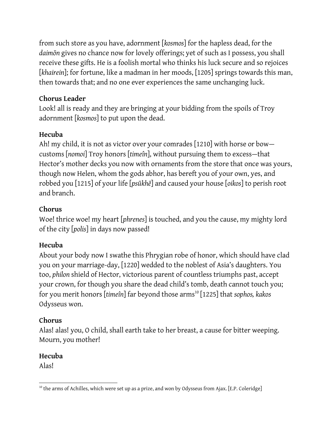from such store as you have, adornment [*kosmos*] for the hapless dead, for the *daimōn* gives no chance now for lovely offerings; yet of such as I possess, you shall receive these gifts. He is a foolish mortal who thinks his luck secure and so rejoices [khairein]; for fortune, like a madman in her moods, [1205] springs towards this man, then towards that; and no one ever experiences the same unchanging luck.

# **Chorus Leader**

Look! all is ready and they are bringing at your bidding from the spoils of Troy adornment [*kosmos*] to put upon the dead.

# **Hecuba**

Ah! my child, it is not as victor over your comrades [1210] with horse or bow customs [*nomoi*] Troy honors [*timeîn*], without pursuing them to excess—that Hector's mother decks you now with ornaments from the store that once was yours, though now Helen, whom the gods abhor, has bereft you of your own, yes, and robbed you [1215] of your life [*psūkhē*] and caused your house [*oikos*] to perish root and branch.

# **Chorus**

Woe! thrice woe! my heart [*phrenes*] is touched, and you the cause, my mighty lord of the city [*polis*] in days now passed!

# **Hecuba**

About your body now I swathe this Phrygian robe of honor, which should have clad you on your marriage-day, [1220] wedded to the noblest of Asia's daughters. You too, *philon* shield of Hector, victorious parent of countless triumphs past, accept your crown, for though you share the dead child's tomb, death cannot touch you; for you merit honors [timeîn] far beyond those arms<sup>10</sup> [1225] that *sophos*, *kakos* Odysseus won.

# **Chorus**

Alas! alas! you, O child, shall earth take to her breast, a cause for bitter weeping. Mourn, you mother!

# **Hecuba**

Alas!

  $10$  the arms of Achilles, which were set up as a prize, and won by Odysseus from Ajax. [E.P. Coleridge]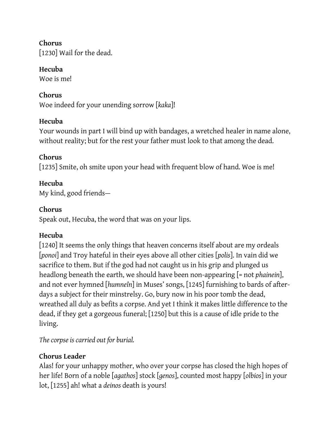**Chorus** [1230] Wail for the dead.

**Hecuba**

Woe is me!

# **Chorus**

Woe indeed for your unending sorrow [*kaka*]!

# **Hecuba**

Your wounds in part I will bind up with bandages, a wretched healer in name alone, without reality; but for the rest your father must look to that among the dead.

# **Chorus**

[1235] Smite, oh smite upon your head with frequent blow of hand. Woe is me!

# **Hecuba**

My kind, good friends—

# **Chorus**

Speak out, Hecuba, the word that was on your lips.

# **Hecuba**

[1240] It seems the only things that heaven concerns itself about are my ordeals [*ponoi*] and Troy hateful in their eyes above all other cities [*polis*]. In vain did we sacrifice to them. But if the god had not caught us in his grip and plunged us headlong beneath the earth, we should have been non-appearing [= not *phainein*], and not ever hymned [*humneîn*] in Muses' songs, [1245] furnishing to bards of afterdays a subject for their minstrelsy. Go, bury now in his poor tomb the dead, wreathed all duly as befits a corpse. And yet I think it makes little difference to the dead, if they get a gorgeous funeral; [1250] but this is a cause of idle pride to the living.

*The corpse is carried out for burial.*

# **Chorus Leader**

Alas! for your unhappy mother, who over your corpse has closed the high hopes of her life! Born of a noble [*agathos*] stock [*genos*], counted most happy [*olbios*] in your lot, [1255] ah! what a *deinos* death is yours!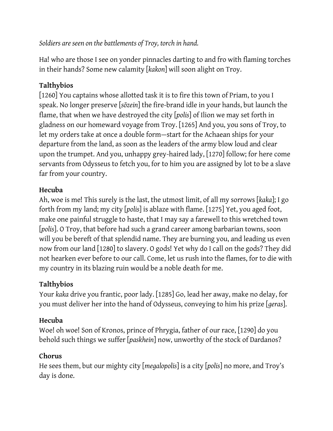Ha! who are those I see on yonder pinnacles darting to and fro with flaming torches in their hands? Some new calamity [*kakon*] will soon alight on Troy.

# **Talthybios**

[1260] You captains whose allotted task it is to fire this town of Priam, to you I speak. No longer preserve [*sōzein*] the fire-brand idle in your hands, but launch the flame, that when we have destroyed the city [*polis*] of Ilion we may set forth in gladness on our homeward voyage from Troy. [1265] And you, you sons of Troy, to let my orders take at once a double form—start for the Achaean ships for your departure from the land, as soon as the leaders of the army blow loud and clear upon the trumpet. And you, unhappy grey-haired lady, [1270] follow; for here come servants from Odysseus to fetch you, for to him you are assigned by lot to be a slave far from your country.

# **Hecuba**

Ah, woe is me! This surely is the last, the utmost limit, of all my sorrows [*kaka*]; I go forth from my land; my city [*polis*] is ablaze with flame. [1275] Yet, you aged foot, make one painful struggle to haste, that I may say a farewell to this wretched town [*polis*]. O Troy, that before had such a grand career among barbarian towns, soon will you be bereft of that splendid name. They are burning you, and leading us even now from our land [1280] to slavery. O gods! Yet why do I call on the gods? They did not hearken ever before to our call. Come, let us rush into the flames, for to die with my country in its blazing ruin would be a noble death for me.

# **Talthybios**

Your *kaka* drive you frantic, poor lady. [1285] Go, lead her away, make no delay, for you must deliver her into the hand of Odysseus, conveying to him his prize [*geras*].

# **Hecuba**

Woe! oh woe! Son of Kronos, prince of Phrygia, father of our race, [1290] do you behold such things we suffer [*paskhein*] now, unworthy of the stock of Dardanos?

# **Chorus**

He sees them, but our mighty city [*megalopolis*] is a city [*polis*] no more, and Troy's day is done.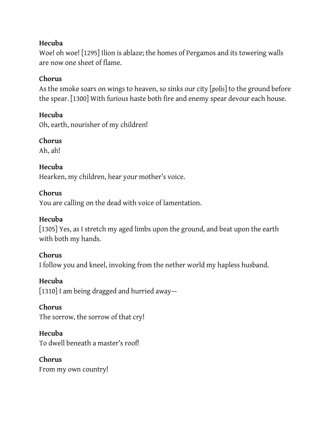Woe! oh woe! [1295] Ilion is ablaze; the homes of Pergamos and its towering walls are now one sheet of flame.

# **Chorus**

As the smoke soars on wings to heaven, so sinks our city [*polis*] to the ground before the spear. [1300] With furious haste both fire and enemy spear devour each house.

# **Hecuba**

Oh, earth, nourisher of my children!

# **Chorus**

Ah, ah!

# **Hecuba**

Hearken, my children, hear your mother's voice.

# **Chorus**

You are calling on the dead with voice of lamentation.

# **Hecuba**

[1305] Yes, as I stretch my aged limbs upon the ground, and beat upon the earth with both my hands.

# **Chorus**

I follow you and kneel, invoking from the nether world my hapless husband.

#### **Hecuba**

[1310] I am being dragged and hurried away—

#### **Chorus**

The sorrow, the sorrow of that cry!

# **Hecuba**

To dwell beneath a master's roof!

# **Chorus**

From my own country!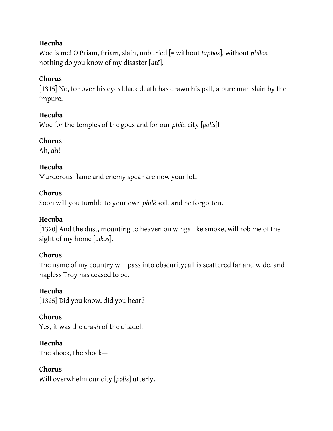Woe is me! O Priam, Priam, slain, unburied [= without *taphos*], without *philos*, nothing do you know of my disaster [*atē*].

# **Chorus**

[1315] No, for over his eyes black death has drawn his pall, a pure man slain by the impure.

# **Hecuba**

Woe for the temples of the gods and for our *phila* city [*polis*]!

# **Chorus**

Ah, ah!

# **Hecuba**

Murderous flame and enemy spear are now your lot.

# **Chorus**

Soon will you tumble to your own *philē* soil, and be forgotten.

# **Hecuba**

[1320] And the dust, mounting to heaven on wings like smoke, will rob me of the sight of my home [*oikos*].

# **Chorus**

The name of my country will pass into obscurity; all is scattered far and wide, and hapless Troy has ceased to be.

#### **Hecuba**

[1325] Did you know, did you hear?

# **Chorus**

Yes, it was the crash of the citadel.

# **Hecuba**

The shock, the shock—

# **Chorus**

Will overwhelm our city [*polis*] utterly.